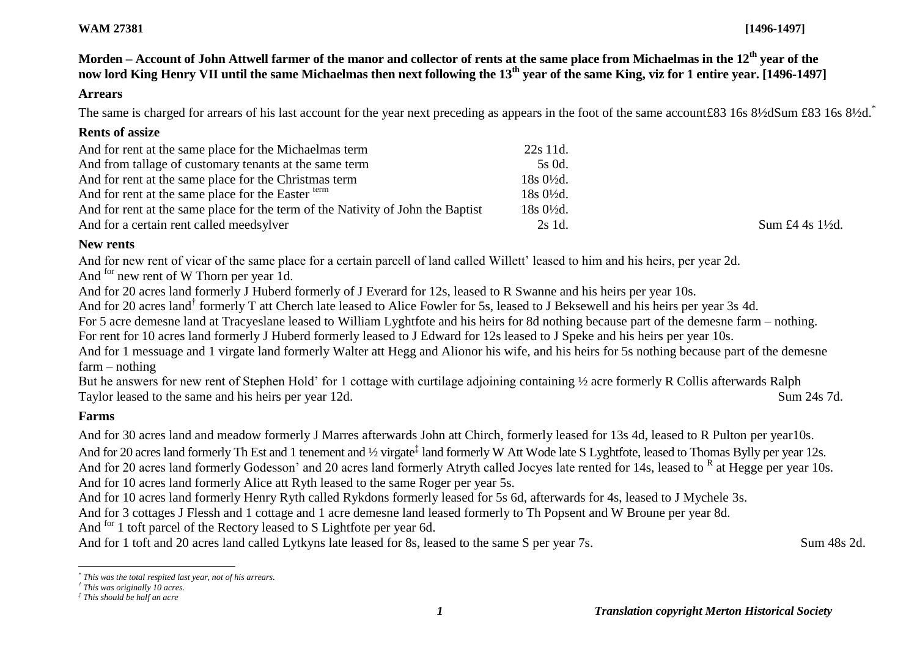#### **WAM 27381 [1496-1497]**

# **Morden – Account of John Attwell farmer of the manor and collector of rents at the same place from Michaelmas in the 12th year of the now lord King Henry VII until the same Michaelmas then next following the 13th year of the same King, viz for 1 entire year. [1496-1497]**

#### **Arrears**

The same is charged for arrears of his last account for the year next preceding as appears in the foot of the same account£83 16s 8½dSum £83 16s 8½d.<sup>\*</sup>

## **Rents of assize**

| And for rent at the same place for the Michaelmas term                          | 22s 11d.             |                             |
|---------------------------------------------------------------------------------|----------------------|-----------------------------|
| And from tallage of customary tenants at the same term                          | 5s 0d.               |                             |
| And for rent at the same place for the Christmas term                           | $18s0\frac{1}{2}d$ . |                             |
| And for rent at the same place for the Easter term                              | $18s0\frac{1}{2}d$ . |                             |
| And for rent at the same place for the term of the Nativity of John the Baptist | $18s0\frac{1}{2}d$ . |                             |
| And for a certain rent called meedsylver                                        | 2s 1d.               | Sum £4 4s $1\frac{1}{2}$ d. |

## **New rents**

And for new rent of vicar of the same place for a certain parcell of land called Willett' leased to him and his heirs, per year 2d. And <sup>for</sup> new rent of W Thorn per year 1d.

And for 20 acres land formerly J Huberd formerly of J Everard for 12s, leased to R Swanne and his heirs per year 10s.

And for 20 acres land<sup>†</sup> formerly T att Cherch late leased to Alice Fowler for 5s, leased to J Beksewell and his heirs per year 3s 4d.

For 5 acre demesne land at Tracyeslane leased to William Lyghtfote and his heirs for 8d nothing because part of the demesne farm – nothing.

For rent for 10 acres land formerly J Huberd formerly leased to J Edward for 12s leased to J Speke and his heirs per year 10s.

And for 1 messuage and 1 virgate land formerly Walter att Hegg and Alionor his wife, and his heirs for 5s nothing because part of the demesne farm – nothing

But he answers for new rent of Stephen Hold' for 1 cottage with curtilage adjoining containing ½ acre formerly R Collis afterwards Ralph Taylor leased to the same and his heirs per year 12d. Sum 24s 7d.

## **Farms**

l

And for 30 acres land and meadow formerly J Marres afterwards John att Chirch, formerly leased for 13s 4d, leased to R Pulton per year10s. And for 20 acres land formerly Th Est and 1 tenement and ½ virgate<sup>‡</sup> land formerly W Att Wode late S Lyghtfote, leased to Thomas Bylly per year 12s. And for 20 acres land formerly Godesson' and 20 acres land formerly Atryth called Jocyes late rented for 14s, leased to R at Hegge per year 10s. And for 10 acres land formerly Alice att Ryth leased to the same Roger per year 5s.

And for 10 acres land formerly Henry Ryth called Rykdons formerly leased for 5s 6d, afterwards for 4s, leased to J Mychele 3s.

And for 3 cottages J Flessh and 1 cottage and 1 acre demesne land leased formerly to Th Popsent and W Broune per year 8d.

And <sup>for</sup> 1 toft parcel of the Rectory leased to S Lightfote per year 6d.

And for 1 toft and 20 acres land called Lytkyns late leased for 8s, leased to the same S per year 7s. Sum 48s 2d.

*<sup>\*</sup> This was the total respited last year, not of his arrears.*

*<sup>†</sup> This was originally 10 acres.*

*<sup>‡</sup> This should be half an acre*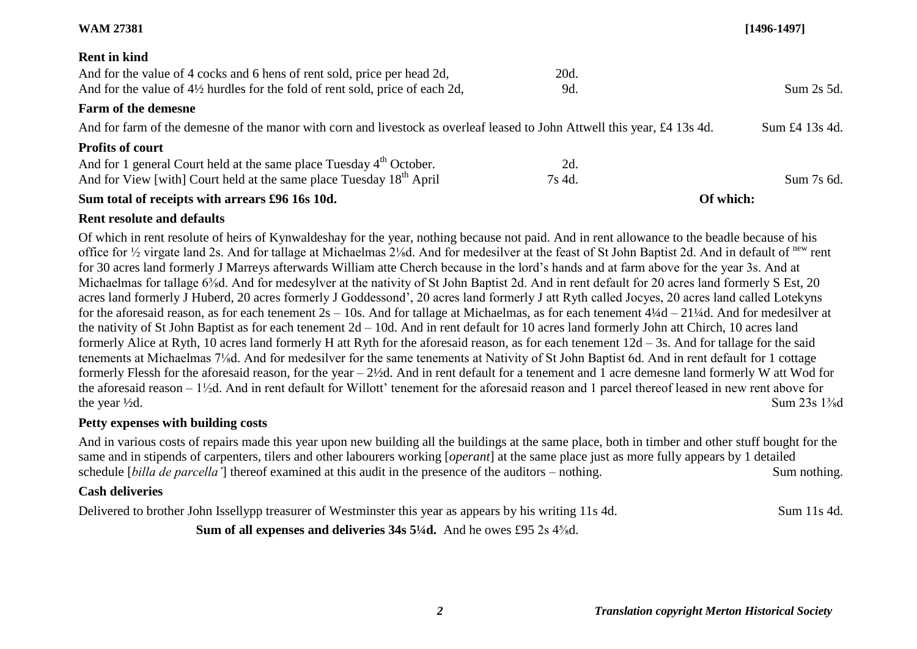|                                                                                                                           | $[1496 - 1497]$ |
|---------------------------------------------------------------------------------------------------------------------------|-----------------|
|                                                                                                                           |                 |
| 20d.                                                                                                                      |                 |
| 9d.                                                                                                                       | Sum 2s 5d.      |
|                                                                                                                           |                 |
| And for farm of the demesne of the manor with corn and livestock as overleaf leased to John Attwell this year, £4 13s 4d. | Sum £4 13s 4d.  |
|                                                                                                                           |                 |
| 2d.                                                                                                                       |                 |
| 7s 4d.                                                                                                                    | Sum 7s 6d.      |
| Of which:                                                                                                                 |                 |
|                                                                                                                           |                 |

#### **Rent resolute and defaults**

Of which in rent resolute of heirs of Kynwaldeshay for the year, nothing because not paid. And in rent allowance to the beadle because of his office for ½ virgate land 2s. And for tallage at Michaelmas 2⅛d. And for medesilver at the feast of St John Baptist 2d. And in default of new rent for 30 acres land formerly J Marreys afterwards William atte Cherch because in the lord's hands and at farm above for the year 3s. And at Michaelmas for tallage 6<sup>3</sup>/<sub>8</sub>d. And for medesylver at the nativity of St John Baptist 2d. And in rent default for 20 acres land formerly S Est, 20 acres land formerly J Huberd, 20 acres formerly J Goddessond', 20 acres land formerly J att Ryth called Jocyes, 20 acres land called Lotekyns for the aforesaid reason, as for each tenement 2s – 10s. And for tallage at Michaelmas, as for each tenement 4¼d – 21¼d. And for medesilver at the nativity of St John Baptist as for each tenement 2d – 10d. And in rent default for 10 acres land formerly John att Chirch, 10 acres land formerly Alice at Ryth, 10 acres land formerly H att Ryth for the aforesaid reason, as for each tenement 12d – 3s. And for tallage for the said tenements at Michaelmas 7⅛d. And for medesilver for the same tenements at Nativity of St John Baptist 6d. And in rent default for 1 cottage formerly Flessh for the aforesaid reason, for the year – 2½d. And in rent default for a tenement and 1 acre demesne land formerly W att Wod for the aforesaid reason – 1½d. And in rent default for Willott' tenement for the aforesaid reason and 1 parcel thereof leased in new rent above for the year  $\frac{1}{2}d$ . Sum  $23s$   $1\frac{3}{8}d$ 

### **Petty expenses with building costs**

And in various costs of repairs made this year upon new building all the buildings at the same place, both in timber and other stuff bought for the same and in stipends of carpenters, tilers and other labourers working [*operant*] at the same place just as more fully appears by 1 detailed schedule [*billa de parcella'*] thereof examined at this audit in the presence of the auditors – nothing. Sum nothing.

## **Cash deliveries**

Delivered to brother John Issellypp treasurer of Westminster this year as appears by his writing 11s 4d. Sum 11s 4d.

**Sum of all expenses and deliveries 34s 5¼d.** And he owes £95 2s 4⅝d.